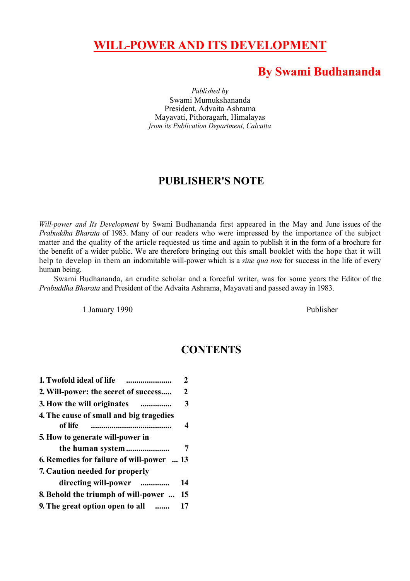# **WILL-POWER AND ITS DEVELOPMENT**

## **By Swami Budhananda**

*Published by* Swami Mumukshananda President, Advaita Ashrama Mayavati, Pithoragarh, Himalayas *from its Publication Department, Calcutta*

### **PUBLISHER'S NOTE**

*Will-power and Its Development* by Swami Budhananda first appeared in the May and June issues of the *Prabuddha Bharata* of 1983. Many of our readers who were impressed by the importance of the subject matter and the quality of the article requested us time and again to publish it in the form of a brochure for the benefit of a wider public. We are therefore bringing out this small booklet with the hope that it will help to develop in them an indomitable will-power which is a *sine qua non* for success in the life of every human being.

Swami Budhananda, an erudite scholar and a forceful writer, was for some years the Editor of the *Prabuddha Bharata* and President of the Advaita Ashrama, Mayavati and passed away in 1983.

1 January 1990 Publisher

## **CONTENTS**

| 2                                         |
|-------------------------------------------|
| 2                                         |
| 3                                         |
|                                           |
| 4                                         |
|                                           |
|                                           |
| 6. Remedies for failure of will-power  13 |
|                                           |
| 14                                        |
| 15                                        |
| 17                                        |
|                                           |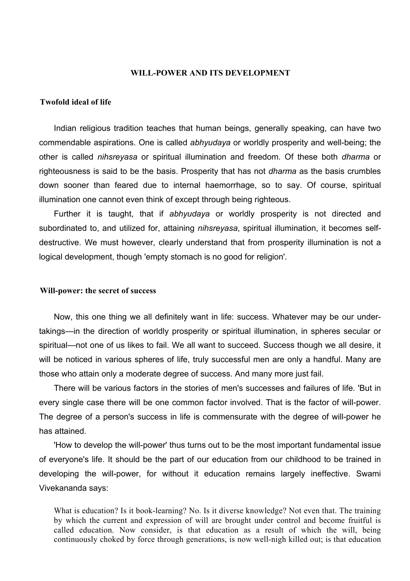#### **WILL-POWER AND ITS DEVELOPMENT**

#### **Twofold ideal of life**

Indian religious tradition teaches that human beings, generally speaking, can have two commendable aspirations. One is called *abhyudaya* or worldly prosperity and well-being; the other is called *nihsreyasa* or spiritual illumination and freedom. Of these both *dharma* or righteousness is said to be the basis. Prosperity that has not *dharma* as the basis crumbles down sooner than feared due to internal haemorrhage, so to say. Of course, spiritual illumination one cannot even think of except through being righteous.

Further it is taught, that if *abhyudaya* or worldly prosperity is not directed and subordinated to, and utilized for, attaining *nihsreyasa*, spiritual illumination, it becomes selfdestructive. We must however, clearly understand that from prosperity illumination is not a logical development, though 'empty stomach is no good for religion'.

#### **Will-power: the secret of success**

Now, this one thing we all definitely want in life: success. Whatever may be our undertakings—in the direction of worldly prosperity or spiritual illumination, in spheres secular or spiritual—not one of us likes to fail. We all want to succeed. Success though we all desire, it will be noticed in various spheres of life, truly successful men are only a handful. Many are those who attain only a moderate degree of success. And many more just fail.

There will be various factors in the stories of men's successes and failures of life. 'But in every single case there will be one common factor involved. That is the factor of will-power. The degree of a person's success in life is commensurate with the degree of will-power he has attained.

'How to develop the will-power' thus turns out to be the most important fundamental issue of everyone's life. It should be the part of our education from our childhood to be trained in developing the will-power, for without it education remains largely ineffective. Swami Vivekananda says:

What is education? Is it book-learning? No. Is it diverse knowledge? Not even that. The training by which the current and expression of will are brought under control and become fruitful is called education. Now consider, is that education as a result of which the will, being continuously choked by force through generations, is now well-nigh killed out; is that education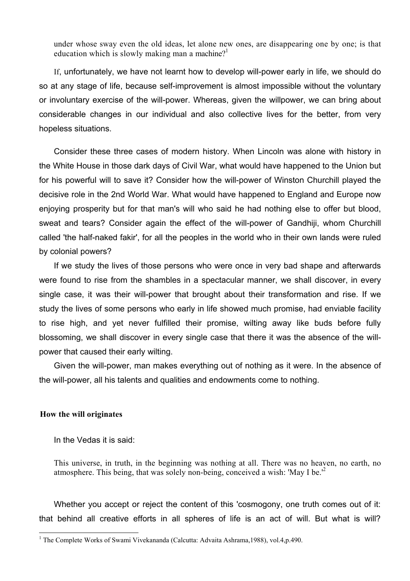under whose sway even the old ideas, let alone new ones, are disappearing one by one; is that education which is slowly making man a machine?<sup>1</sup>

If, unfortunately, we have not learnt how to develop will-power early in life, we should do so at any stage of life, because self-improvement is almost impossible without the voluntary or involuntary exercise of the will-power. Whereas, given the willpower, we can bring about considerable changes in our individual and also collective lives for the better, from very hopeless situations.

Consider these three cases of modern history. When Lincoln was alone with history in the White House in those dark days of Civil War, what would have happened to the Union but for his powerful will to save it? Consider how the will-power of Winston Churchill played the decisive role in the 2nd World War. What would have happened to England and Europe now enjoying prosperity but for that man's will who said he had nothing else to offer but blood, sweat and tears? Consider again the effect of the will-power of Gandhiji, whom Churchill called 'the half-naked fakir', for all the peoples in the world who in their own lands were ruled by colonial powers?

If we study the lives of those persons who were once in very bad shape and afterwards were found to rise from the shambles in a spectacular manner, we shall discover, in every single case, it was their will-power that brought about their transformation and rise. If we study the lives of some persons who early in life showed much promise, had enviable facility to rise high, and yet never fulfilled their promise, wilting away like buds before fully blossoming, we shall discover in every single case that there it was the absence of the willpower that caused their early wilting.

Given the will-power, man makes everything out of nothing as it were. In the absence of the will-power, all his talents and qualities and endowments come to nothing.

#### **How the will originates**

In the Vedas it is said:

This universe, in truth, in the beginning was nothing at all. There was no heaven, no earth, no atmosphere. This being, that was solely non-being, conceived a wish: 'May I be.'[2](#page-2-1)

Whether you accept or reject the content of this 'cosmogony, one truth comes out of it: that behind all creative efforts in all spheres of life is an act of will. But what is will?

<span id="page-2-1"></span><span id="page-2-0"></span> 1 The Complete Works of Swami Vivekananda (Calcutta: Advaita Ashrama,1988), vol.4,p.490.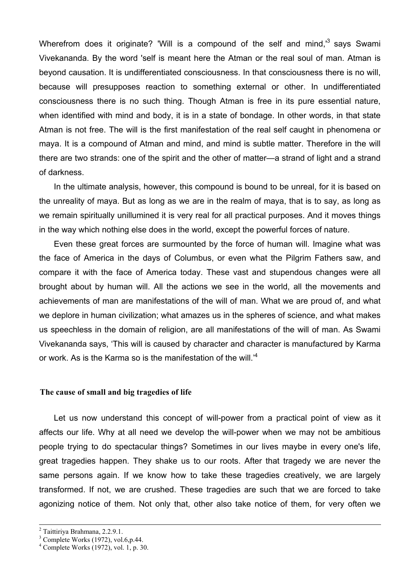Wherefrom does it originate? 'Will is a compound of the self and mind,<sup>3</sup> savs Swami Vivekananda. By the word 'self is meant here the Atman or the real soul of man. Atman is beyond causation. It is undifferentiated consciousness. In that consciousness there is no will, because will presupposes reaction to something external or other. In undifferentiated consciousness there is no such thing. Though Atman is free in its pure essential nature, when identified with mind and body, it is in a state of bondage. In other words, in that state Atman is not free. The will is the first manifestation of the real self caught in phenomena or maya. It is a compound of Atman and mind, and mind is subtle matter. Therefore in the will there are two strands: one of the spirit and the other of matter—a strand of light and a strand of darkness.

In the ultimate analysis, however, this compound is bound to be unreal, for it is based on the unreality of maya. But as long as we are in the realm of maya, that is to say, as long as we remain spiritually unillumined it is very real for all practical purposes. And it moves things in the way which nothing else does in the world, except the powerful forces of nature.

Even these great forces are surmounted by the force of human will. Imagine what was the face of America in the days of Columbus, or even what the Pilgrim Fathers saw, and compare it with the face of America today. These vast and stupendous changes were all brought about by human will. All the actions we see in the world, all the movements and achievements of man are manifestations of the will of man. What we are proud of, and what we deplore in human civilization; what amazes us in the spheres of science, and what makes us speechless in the domain of religion, are all manifestations of the will of man. As Swami Vivekananda says, 'This will is caused by character and character is manufactured by Karma or work. As is the Karma so is the manifestation of the will.'[4](#page-3-1)

#### **The cause of small and big tragedies of life**

Let us now understand this concept of will-power from a practical point of view as it affects our life. Why at all need we develop the will-power when we may not be ambitious people trying to do spectacular things? Sometimes in our lives maybe in every one's life, great tragedies happen. They shake us to our roots. After that tragedy we are never the same persons again. If we know how to take these tragedies creatively, we are largely transformed. If not, we are crushed. These tragedies are such that we are forced to take agonizing notice of them. Not only that, other also take notice of them, for very often we

<sup>&</sup>lt;sup>2</sup>  $2$  Taittiriya Brahmana, 2.2.9.1.

<span id="page-3-0"></span><sup>3</sup> Complete Works (1972), vol.6,p.44.

<span id="page-3-1"></span><sup>4</sup> Complete Works (1972), vol. 1, p. 30.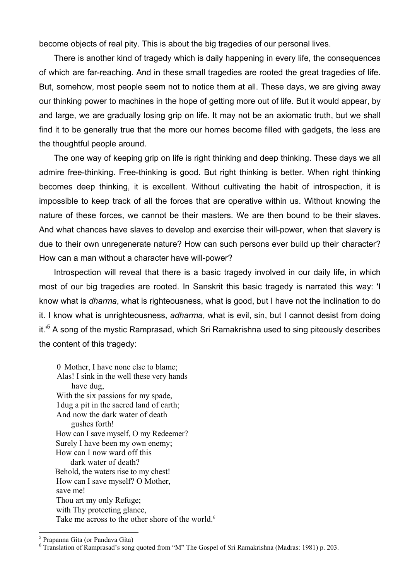become objects of real pity. This is about the big tragedies of our personal lives.

There is another kind of tragedy which is daily happening in every life, the consequences of which are far-reaching. And in these small tragedies are rooted the great tragedies of life. But, somehow, most people seem not to notice them at all. These days, we are giving away our thinking power to machines in the hope of getting more out of life. But it would appear, by and large, we are gradually losing grip on life. It may not be an axiomatic truth, but we shall find it to be generally true that the more our homes become filled with gadgets, the less are the thoughtful people around.

The one way of keeping grip on life is right thinking and deep thinking. These days we all admire free-thinking. Free-thinking is good. But right thinking is better. When right thinking becomes deep thinking, it is excellent. Without cultivating the habit of introspection, it is impossible to keep track of all the forces that are operative within us. Without knowing the nature of these forces, we cannot be their masters. We are then bound to be their slaves. And what chances have slaves to develop and exercise their will-power, when that slavery is due to their own unregenerate nature? How can such persons ever build up their character? How can a man without a character have will-power?

Introspection will reveal that there is a basic tragedy involved in our daily life, in which most of our big tragedies are rooted. In Sanskrit this basic tragedy is narrated this way: 'I know what is *dharma*, what is righteousness, what is good, but I have not the inclination to do it. I know what is unrighteousness, *adharma*, what is evil, sin, but I cannot desist from doing it.'<sup>5</sup>A song of the mystic Ramprasad, which Sri Ramakrishna used to sing piteously describes the content of this tragedy:

0 Mother, I have none else to blame; Alas! I sink in the well these very hands have dug, With the six passions for my spade, 1dug a pit in the sacred land of earth; And now the dark water of death gushes forth! How can I save myself, O my Redeemer? Surely I have been my own enemy; How can I now ward off this dark water of death? Behold, the waters rise to my chest! How can I save myself? O Mother, save me! Thou art my only Refuge; with Thy protecting glance, Take me across to the other shore of the world.<sup>[6](#page-4-1)</sup>

<span id="page-4-0"></span>5 Prapanna Gita (or Pandava Gita)

<span id="page-4-1"></span> $6$  Translation of Ramprasad's song quoted from "M" The Gospel of Sri Ramakrishna (Madras: 1981) p. 203.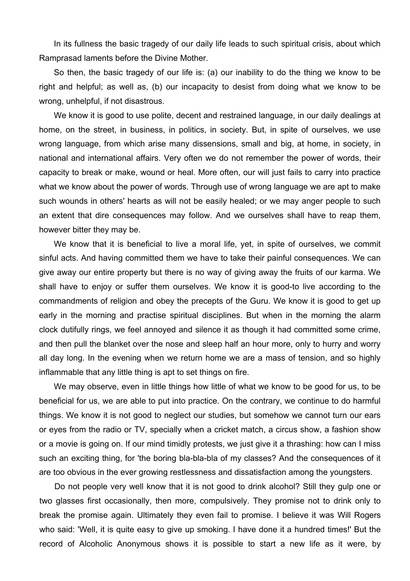In its fullness the basic tragedy of our daily life leads to such spiritual crisis, about which Ramprasad laments before the Divine Mother.

So then, the basic tragedy of our life is: (a) our inability to do the thing we know to be right and helpful; as well as, (b) our incapacity to desist from doing what we know to be wrong, unhelpful, if not disastrous.

We know it is good to use polite, decent and restrained language, in our daily dealings at home, on the street, in business, in politics, in society. But, in spite of ourselves, we use wrong language, from which arise many dissensions, small and big, at home, in society, in national and international affairs. Very often we do not remember the power of words, their capacity to break or make, wound or heal. More often, our will just fails to carry into practice what we know about the power of words. Through use of wrong language we are apt to make such wounds in others' hearts as will not be easily healed; or we may anger people to such an extent that dire consequences may follow. And we ourselves shall have to reap them, however bitter they may be.

We know that it is beneficial to live a moral life, yet, in spite of ourselves, we commit sinful acts. And having committed them we have to take their painful consequences. We can give away our entire property but there is no way of giving away the fruits of our karma. We shall have to enjoy or suffer them ourselves. We know it is good-to live according to the commandments of religion and obey the precepts of the Guru. We know it is good to get up early in the morning and practise spiritual disciplines. But when in the morning the alarm clock dutifully rings, we feel annoyed and silence it as though it had committed some crime, and then pull the blanket over the nose and sleep half an hour more, only to hurry and worry all day long. In the evening when we return home we are a mass of tension, and so highly inflammable that any little thing is apt to set things on fire.

We may observe, even in little things how little of what we know to be good for us, to be beneficial for us, we are able to put into practice. On the contrary, we continue to do harmful things. We know it is not good to neglect our studies, but somehow we cannot turn our ears or eyes from the radio or TV, specially when a cricket match, a circus show, a fashion show or a movie is going on. If our mind timidly protests, we just give it a thrashing: how can I miss such an exciting thing, for 'the boring bla-bla-bla of my classes? And the consequences of it are too obvious in the ever growing restlessness and dissatisfaction among the youngsters.

Do not people very well know that it is not good to drink alcohol? Still they gulp one or two glasses first occasionally, then more, compulsively. They promise not to drink only to break the promise again. Ultimately they even fail to promise. I believe it was Will Rogers who said: 'Well, it is quite easy to give up smoking. I have done it a hundred times!' But the record of Alcoholic Anonymous shows it is possible to start a new life as it were, by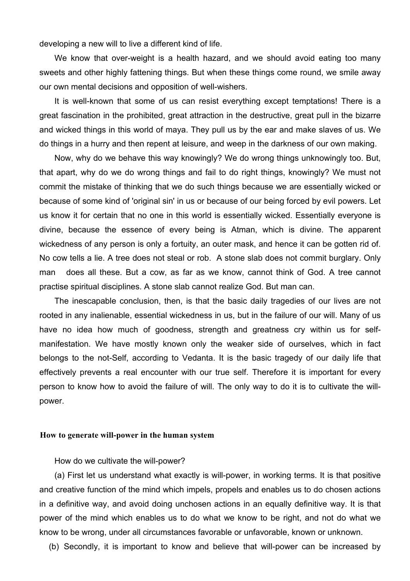developing a new will to live a different kind of life.

We know that over-weight is a health hazard, and we should avoid eating too many sweets and other highly fattening things. But when these things come round, we smile away our own mental decisions and opposition of well-wishers.

It is well-known that some of us can resist everything except temptations! There is a great fascination in the prohibited, great attraction in the destructive, great pull in the bizarre and wicked things in this world of maya. They pull us by the ear and make slaves of us. We do things in a hurry and then repent at leisure, and weep in the darkness of our own making.

Now, why do we behave this way knowingly? We do wrong things unknowingly too. But, that apart, why do we do wrong things and fail to do right things, knowingly? We must not commit the mistake of thinking that we do such things because we are essentially wicked or because of some kind of 'original sin' in us or because of our being forced by evil powers. Let us know it for certain that no one in this world is essentially wicked. Essentially everyone is divine, because the essence of every being is Atman, which is divine. The apparent wickedness of any person is only a fortuity, an outer mask, and hence it can be gotten rid of. No cow tells a lie. A tree does not steal or rob. A stone slab does not commit burglary. Only man does all these. But a cow, as far as we know, cannot think of God. A tree cannot practise spiritual disciplines. A stone slab cannot realize God. But man can.

The inescapable conclusion, then, is that the basic daily tragedies of our lives are not rooted in any inalienable, essential wickedness in us, but in the failure of our will. Many of us have no idea how much of goodness, strength and greatness cry within us for selfmanifestation. We have mostly known only the weaker side of ourselves, which in fact belongs to the not-Self, according to Vedanta. It is the basic tragedy of our daily life that effectively prevents a real encounter with our true self. Therefore it is important for every person to know how to avoid the failure of will. The only way to do it is to cultivate the willpower.

#### **How to generate will-power in the human system**

How do we cultivate the will-power?

(a) First let us understand what exactly is will-power, in working terms. It is that positive and creative function of the mind which impels, propels and enables us to do chosen actions in a definitive way, and avoid doing unchosen actions in an equally definitive way. It is that power of the mind which enables us to do what we know to be right, and not do what we know to be wrong, under all circumstances favorable or unfavorable, known or unknown.

(b) Secondly, it is important to know and believe that will-power can be increased by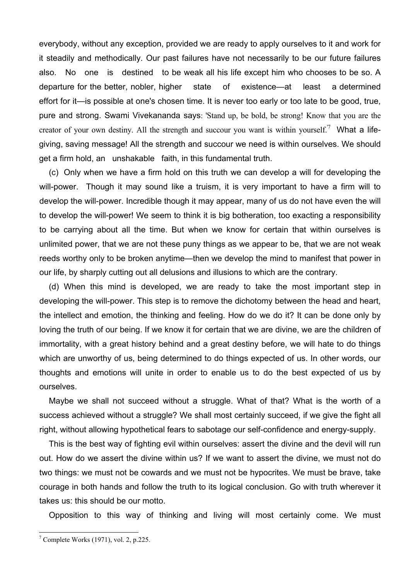everybody, without any exception, provided we are ready to apply ourselves to it and work for it steadily and methodically. Our past failures have not necessarily to be our future failures also. No one is destined to be weak all his life except him who chooses to be so. A departure for the better, nobler, higher state of existence—at least a determined effort for it—is possible at one's chosen time. It is never too early or too late to be good, true, pure and strong. Swami Vivekananda says: 'Stand up, be bold, be strong! Know that you are the creator of your own destiny. All the strength and succour you want is within yourself.<sup>'[7](#page-7-0)</sup> What a lifegiving, saving message! All the strength and succour we need is within ourselves. We should get a firm hold, an unshakable faith, in this fundamental truth.

(c) Only when we have a firm hold on this truth we can develop a will for developing the will-power. Though it may sound like a truism, it is very important to have a firm will to develop the will-power. Incredible though it may appear, many of us do not have even the will to develop the will-power! We seem to think it is big botheration, too exacting a responsibility to be carrying about all the time. But when we know for certain that within ourselves is unlimited power, that we are not these puny things as we appear to be, that we are not weak reeds worthy only to be broken anytime—then we develop the mind to manifest that power in our life, by sharply cutting out all delusions and illusions to which are the contrary.

(d) When this mind is developed, we are ready to take the most important step in developing the will-power. This step is to remove the dichotomy between the head and heart, the intellect and emotion, the thinking and feeling. How do we do it? It can be done only by loving the truth of our being. If we know it for certain that we are divine, we are the children of immortality, with a great history behind and a great destiny before, we will hate to do things which are unworthy of us, being determined to do things expected of us. In other words, our thoughts and emotions will unite in order to enable us to do the best expected of us by ourselves.

Maybe we shall not succeed without a struggle. What of that? What is the worth of a success achieved without a struggle? We shall most certainly succeed, if we give the fight all right, without allowing hypothetical fears to sabotage our self-confidence and energy-supply.

This is the best way of fighting evil within ourselves: assert the divine and the devil will run out. How do we assert the divine within us? If we want to assert the divine, we must not do two things: we must not be cowards and we must not be hypocrites. We must be brave, take courage in both hands and follow the truth to its logical conclusion. Go with truth wherever it takes us: this should be our motto.

Opposition to this way of thinking and living will most certainly come. We must

<span id="page-7-0"></span> 7 Complete Works (1971), vol. 2, p.225.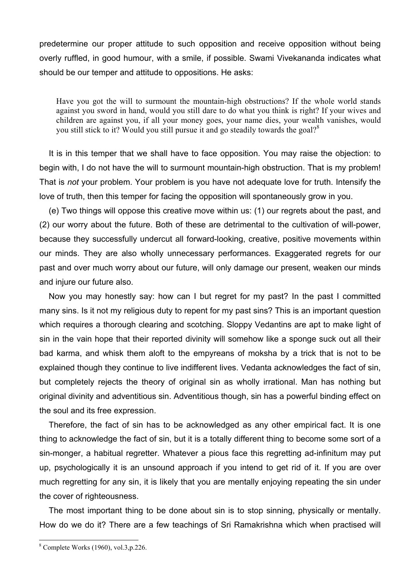predetermine our proper attitude to such opposition and receive opposition without being overly ruffled, in good humour, with a smile, if possible. Swami Vivekananda indicates what should be our temper and attitude to oppositions. He asks:

Have you got the will to surmount the mountain-high obstructions? If the whole world stands against you sword in hand, would you still dare to do what you think is right? If your wives and children are against you, if all your money goes, your name dies, your wealth vanishes, would you still stick to it? Would you still pursue it and go steadily towards the goal?<sup>[8](#page-8-0)</sup>

It is in this temper that we shall have to face opposition. You may raise the objection: to begin with, I do not have the will to surmount mountain-high obstruction. That is my problem! That is *not* your problem. Your problem is you have not adequate love for truth. Intensify the love of truth, then this temper for facing the opposition will spontaneously grow in you.

(e) Two things will oppose this creative move within us: (1) our regrets about the past, and (2) our worry about the future. Both of these are detrimental to the cultivation of will-power, because they successfully undercut all forward-looking, creative, positive movements within our minds. They are also wholly unnecessary performances. Exaggerated regrets for our past and over much worry about our future, will only damage our present, weaken our minds and injure our future also.

Now you may honestly say: how can I but regret for my past? In the past I committed many sins. Is it not my religious duty to repent for my past sins? This is an important question which requires a thorough clearing and scotching. Sloppy Vedantins are apt to make light of sin in the vain hope that their reported divinity will somehow like a sponge suck out all their bad karma, and whisk them aloft to the empyreans of moksha by a trick that is not to be explained though they continue to live indifferent lives. Vedanta acknowledges the fact of sin, but completely rejects the theory of original sin as wholly irrational. Man has nothing but original divinity and adventitious sin. Adventitious though, sin has a powerful binding effect on the soul and its free expression.

Therefore, the fact of sin has to be acknowledged as any other empirical fact. It is one thing to acknowledge the fact of sin, but it is a totally different thing to become some sort of a sin-monger, a habitual regretter. Whatever a pious face this regretting ad-infinitum may put up, psychologically it is an unsound approach if you intend to get rid of it. If you are over much regretting for any sin, it is likely that you are mentally enjoying repeating the sin under the cover of righteousness.

The most important thing to be done about sin is to stop sinning, physically or mentally. How do we do it? There are a few teachings of Sri Ramakrishna which when practised will

<span id="page-8-0"></span><sup>8</sup> Complete Works (1960), vol.3,p.226.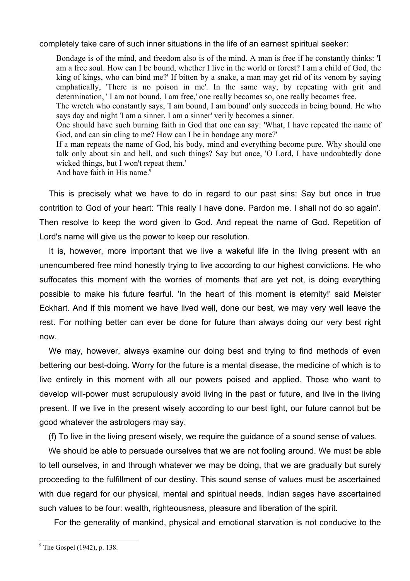completely take care of such inner situations in the life of an earnest spiritual seeker:

Bondage is of the mind, and freedom also is of the mind. A man is free if he constantly thinks: 'I am a free soul. How can I be bound, whether I live in the world or forest? I am a child of God, the king of kings, who can bind me?' If bitten by a snake, a man may get rid of its venom by saying emphatically, 'There is no poison in me'. In the same way, by repeating with grit and determination, 'I am not bound, I am free,' one really becomes so, one really becomes free.

The wretch who constantly says, 'I am bound, I am bound' only succeeds in being bound. He who says day and night 'I am a sinner, I am a sinner' verily becomes a sinner.

One should have such burning faith in God that one can say: 'What, I have repeated the name of God, and can sin cling to me? How can I be in bondage any more?'

If a man repeats the name of God, his body, mind and everything become pure. Why should one talk only about sin and hell, and such things? Say but once, 'O Lord, I have undoubtedly done wicked things, but I won't repeat them.'

And have faith in His name.<sup>9</sup>

This is precisely what we have to do in regard to our past sins: Say but once in true contrition to God of your heart: 'This really I have done. Pardon me. I shall not do so again'. Then resolve to keep the word given to God. And repeat the name of God. Repetition of Lord's name will give us the power to keep our resolution.

It is, however, more important that we live a wakeful life in the living present with an unencumbered free mind honestly trying to live according to our highest convictions. He who suffocates this moment with the worries of moments that are yet not, is doing everything possible to make his future fearful. 'In the heart of this moment is eternity!' said Meister Eckhart. And if this moment we have lived well, done our best, we may very well leave the rest. For nothing better can ever be done for future than always doing our very best right now.

We may, however, always examine our doing best and trying to find methods of even bettering our best-doing. Worry for the future is a mental disease, the medicine of which is to live entirely in this moment with all our powers poised and applied. Those who want to develop will-power must scrupulously avoid living in the past or future, and live in the living present. If we live in the present wisely according to our best light, our future cannot but be good whatever the astrologers may say.

(f) To live in the living present wisely, we require the guidance of a sound sense of values.

We should be able to persuade ourselves that we are not fooling around. We must be able to tell ourselves, in and through whatever we may be doing, that we are gradually but surely proceeding to the fulfillment of our destiny. This sound sense of values must be ascertained with due regard for our physical, mental and spiritual needs. Indian sages have ascertained such values to be four: wealth, righteousness, pleasure and liberation of the spirit.

For the generality of mankind, physical and emotional starvation is not conducive to the

<span id="page-9-0"></span> $9^9$  The Gospel (1942), p. 138.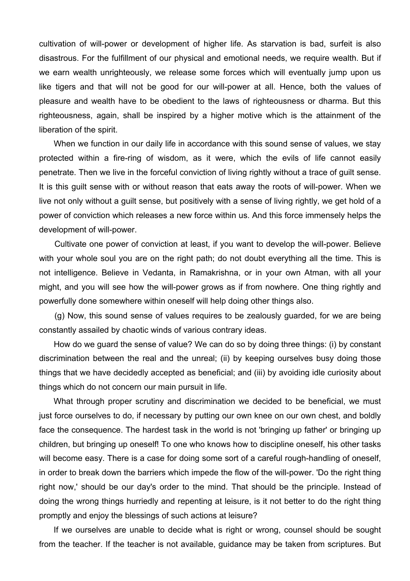cultivation of will-power or development of higher life. As starvation is bad, surfeit is also disastrous. For the fulfillment of our physical and emotional needs, we require wealth. But if we earn wealth unrighteously, we release some forces which will eventually jump upon us like tigers and that will not be good for our will-power at all. Hence, both the values of pleasure and wealth have to be obedient to the laws of righteousness or dharma. But this righteousness, again, shall be inspired by a higher motive which is the attainment of the liberation of the spirit.

When we function in our daily life in accordance with this sound sense of values, we stay protected within a fire-ring of wisdom, as it were, which the evils of life cannot easily penetrate. Then we live in the forceful conviction of living rightly without a trace of guilt sense. It is this guilt sense with or without reason that eats away the roots of will-power. When we live not only without a guilt sense, but positively with a sense of living rightly, we get hold of a power of conviction which releases a new force within us. And this force immensely helps the development of will-power.

Cultivate one power of conviction at least, if you want to develop the will-power. Believe with your whole soul you are on the right path; do not doubt everything all the time. This is not intelligence. Believe in Vedanta, in Ramakrishna, or in your own Atman, with all your might, and you will see how the will-power grows as if from nowhere. One thing rightly and powerfully done somewhere within oneself will help doing other things also.

(g) Now, this sound sense of values requires to be zealously guarded, for we are being constantly assailed by chaotic winds of various contrary ideas.

How do we guard the sense of value? We can do so by doing three things: (i) by constant discrimination between the real and the unreal; (ii) by keeping ourselves busy doing those things that we have decidedly accepted as beneficial; and (iii) by avoiding idle curiosity about things which do not concern our main pursuit in life.

What through proper scrutiny and discrimination we decided to be beneficial, we must just force ourselves to do, if necessary by putting our own knee on our own chest, and boldly face the consequence. The hardest task in the world is not 'bringing up father' or bringing up children, but bringing up oneself! To one who knows how to discipline oneself, his other tasks will become easy. There is a case for doing some sort of a careful rough-handling of oneself, in order to break down the barriers which impede the flow of the will-power. 'Do the right thing right now,' should be our day's order to the mind. That should be the principle. Instead of doing the wrong things hurriedly and repenting at leisure, is it not better to do the right thing promptly and enjoy the blessings of such actions at leisure?

If we ourselves are unable to decide what is right or wrong, counsel should be sought from the teacher. If the teacher is not available, guidance may be taken from scriptures. But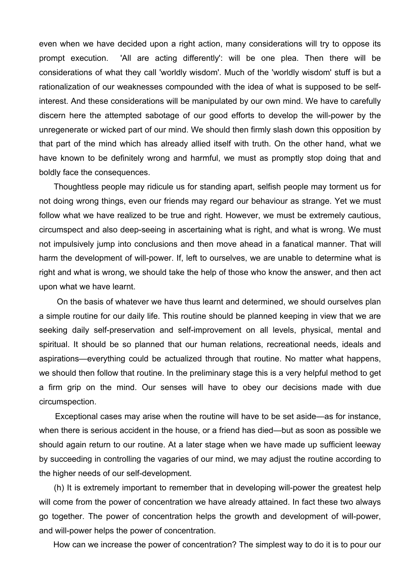even when we have decided upon a right action, many considerations will try to oppose its prompt execution. 'All are acting differently': will be one plea. Then there will be considerations of what they call 'worldly wisdom'. Much of the 'worldly wisdom' stuff is but a rationalization of our weaknesses compounded with the idea of what is supposed to be selfinterest. And these considerations will be manipulated by our own mind. We have to carefully discern here the attempted sabotage of our good efforts to develop the will-power by the unregenerate or wicked part of our mind. We should then firmly slash down this opposition by that part of the mind which has already allied itself with truth. On the other hand, what we have known to be definitely wrong and harmful, we must as promptly stop doing that and boldly face the consequences.

Thoughtless people may ridicule us for standing apart, selfish people may torment us for not doing wrong things, even our friends may regard our behaviour as strange. Yet we must follow what we have realized to be true and right. However, we must be extremely cautious, circumspect and also deep-seeing in ascertaining what is right, and what is wrong. We must not impulsively jump into conclusions and then move ahead in a fanatical manner. That will harm the development of will-power. If, left to ourselves, we are unable to determine what is right and what is wrong, we should take the help of those who know the answer, and then act upon what we have learnt.

On the basis of whatever we have thus learnt and determined, we should ourselves plan a simple routine for our daily life. This routine should be planned keeping in view that we are seeking daily self-preservation and self-improvement on all levels, physical, mental and spiritual. It should be so planned that our human relations, recreational needs, ideals and aspirations—everything could be actualized through that routine. No matter what happens, we should then follow that routine. In the preliminary stage this is a very helpful method to get a firm grip on the mind. Our senses will have to obey our decisions made with due circumspection.

Exceptional cases may arise when the routine will have to be set aside—as for instance, when there is serious accident in the house, or a friend has died—but as soon as possible we should again return to our routine. At a later stage when we have made up sufficient leeway by succeeding in controlling the vagaries of our mind, we may adjust the routine according to the higher needs of our self-development.

(h) It is extremely important to remember that in developing will-power the greatest help will come from the power of concentration we have already attained. In fact these two always go together. The power of concentration helps the growth and development of will-power, and will-power helps the power of concentration.

How can we increase the power of concentration? The simplest way to do it is to pour our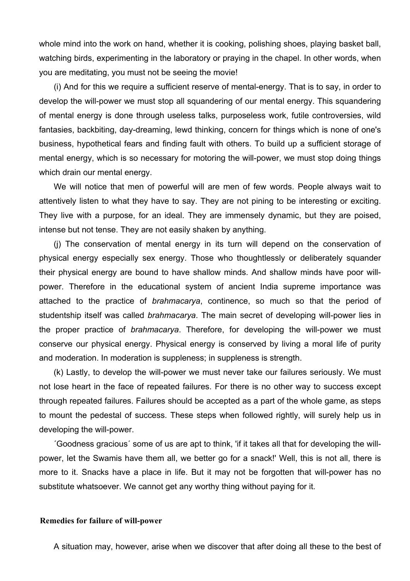whole mind into the work on hand, whether it is cooking, polishing shoes, playing basket ball, watching birds, experimenting in the laboratory or praying in the chapel. In other words, when you are meditating, you must not be seeing the movie!

(i) And for this we require a sufficient reserve of mental-energy. That is to say, in order to develop the will-power we must stop all squandering of our mental energy. This squandering of mental energy is done through useless talks, purposeless work, futile controversies, wild fantasies, backbiting, day-dreaming, lewd thinking, concern for things which is none of one's business, hypothetical fears and finding fault with others. To build up a sufficient storage of mental energy, which is so necessary for motoring the will-power, we must stop doing things which drain our mental energy.

We will notice that men of powerful will are men of few words. People always wait to attentively listen to what they have to say. They are not pining to be interesting or exciting. They live with a purpose, for an ideal. They are immensely dynamic, but they are poised, intense but not tense. They are not easily shaken by anything.

(j) The conservation of mental energy in its turn will depend on the conservation of physical energy especially sex energy. Those who thoughtlessly or deliberately squander their physical energy are bound to have shallow minds. And shallow minds have poor willpower. Therefore in the educational system of ancient India supreme importance was attached to the practice of *brahmacarya*, continence, so much so that the period of studentship itself was called *brahmacarya*. The main secret of developing will-power lies in the proper practice of *brahmacarya*. Therefore, for developing the will-power we must conserve our physical energy. Physical energy is conserved by living a moral life of purity and moderation. In moderation is suppleness; in suppleness is strength.

(k) Lastly, to develop the will-power we must never take our failures seriously. We must not lose heart in the face of repeated failures. For there is no other way to success except through repeated failures. Failures should be accepted as a part of the whole game, as steps to mount the pedestal of success. These steps when followed rightly, will surely help us in developing the will-power.

´Goodness gracious´ some of us are apt to think, 'if it takes all that for developing the willpower, let the Swamis have them all, we better go for a snack!' Well, this is not all, there is more to it. Snacks have a place in life. But it may not be forgotten that will-power has no substitute whatsoever. We cannot get any worthy thing without paying for it.

### **Remedies for failure of will-power**

A situation may, however, arise when we discover that after doing all these to the best of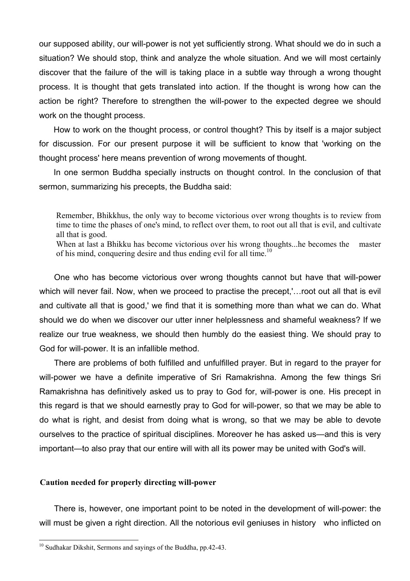our supposed ability, our will-power is not yet sufficiently strong. What should we do in such a situation? We should stop, think and analyze the whole situation. And we will most certainly discover that the failure of the will is taking place in a subtle way through a wrong thought process. It is thought that gets translated into action. If the thought is wrong how can the action be right? Therefore to strengthen the will-power to the expected degree we should work on the thought process.

How to work on the thought process, or control thought? This by itself is a major subject for discussion. For our present purpose it will be sufficient to know that 'working on the thought process' here means prevention of wrong movements of thought.

In one sermon Buddha specially instructs on thought control. In the conclusion of that sermon, summarizing his precepts, the Buddha said:

Remember, Bhikkhus, the only way to become victorious over wrong thoughts is to review from time to time the phases of one's mind, to reflect over them, to root out all that is evil, and cultivate all that is good.

When at last a Bhikku has become victorious over his wrong thoughts...he becomes the master of his mind, conquering desire and thus ending evil for all time.<sup>[10](#page-13-0)</sup>

One who has become victorious over wrong thoughts cannot but have that will-power which will never fail. Now, when we proceed to practise the precept,'…root out all that is evil and cultivate all that is good,' we find that it is something more than what we can do. What should we do when we discover our utter inner helplessness and shameful weakness? If we realize our true weakness, we should then humbly do the easiest thing. We should pray to God for will-power. It is an infallible method.

There are problems of both fulfilled and unfulfilled prayer. But in regard to the prayer for will-power we have a definite imperative of Sri Ramakrishna. Among the few things Sri Ramakrishna has definitively asked us to pray to God for, will-power is one. His precept in this regard is that we should earnestly pray to God for will-power, so that we may be able to do what is right, and desist from doing what is wrong, so that we may be able to devote ourselves to the practice of spiritual disciplines. Moreover he has asked us—and this is very important—to also pray that our entire will with all its power may be united with God's will.

#### **Caution needed for properly directing will-power**

There is, however, one important point to be noted in the development of will-power: the will must be given a right direction. All the notorious evil geniuses in history who inflicted on

<span id="page-13-0"></span><sup>&</sup>lt;sup>10</sup> Sudhakar Dikshit, Sermons and sayings of the Buddha, pp.42-43.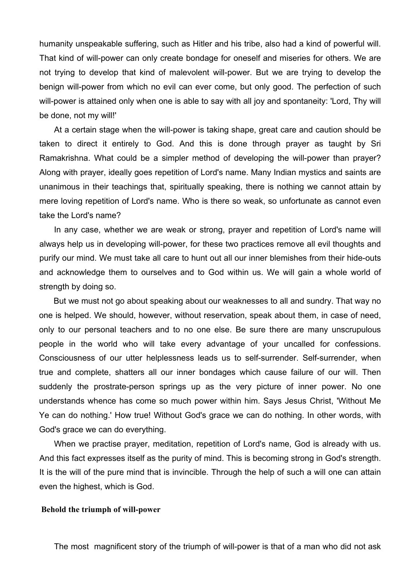humanity unspeakable suffering, such as Hitler and his tribe, also had a kind of powerful will. That kind of will-power can only create bondage for oneself and miseries for others. We are not trying to develop that kind of malevolent will-power. But we are trying to develop the benign will-power from which no evil can ever come, but only good. The perfection of such will-power is attained only when one is able to say with all joy and spontaneity: 'Lord, Thy will be done, not my will!'

At a certain stage when the will-power is taking shape, great care and caution should be taken to direct it entirely to God. And this is done through prayer as taught by Sri Ramakrishna. What could be a simpler method of developing the will-power than prayer? Along with prayer, ideally goes repetition of Lord's name. Many Indian mystics and saints are unanimous in their teachings that, spiritually speaking, there is nothing we cannot attain by mere loving repetition of Lord's name. Who is there so weak, so unfortunate as cannot even take the Lord's name?

In any case, whether we are weak or strong, prayer and repetition of Lord's name will always help us in developing will-power, for these two practices remove all evil thoughts and purify our mind. We must take all care to hunt out all our inner blemishes from their hide-outs and acknowledge them to ourselves and to God within us. We will gain a whole world of strength by doing so.

But we must not go about speaking about our weaknesses to all and sundry. That way no one is helped. We should, however, without reservation, speak about them, in case of need, only to our personal teachers and to no one else. Be sure there are many unscrupulous people in the world who will take every advantage of your uncalled for confessions. Consciousness of our utter helplessness leads us to self-surrender. Self-surrender, when true and complete, shatters all our inner bondages which cause failure of our will. Then suddenly the prostrate-person springs up as the very picture of inner power. No one understands whence has come so much power within him. Says Jesus Christ, 'Without Me Ye can do nothing.' How true! Without God's grace we can do nothing. In other words, with God's grace we can do everything.

When we practise prayer, meditation, repetition of Lord's name, God is already with us. And this fact expresses itself as the purity of mind. This is becoming strong in God's strength. It is the will of the pure mind that is invincible. Through the help of such a will one can attain even the highest, which is God.

#### **Behold the triumph of will-power**

The most magnificent story of the triumph of will-power is that of a man who did not ask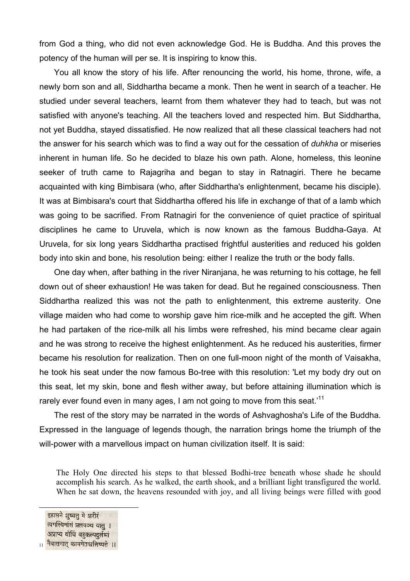from God a thing, who did not even acknowledge God. He is Buddha. And this proves the potency of the human will per se. It is inspiring to know this.

You all know the story of his life. After renouncing the world, his home, throne, wife, a newly born son and all, Siddhartha became a monk. Then he went in search of a teacher. He studied under several teachers, learnt from them whatever they had to teach, but was not satisfied with anyone's teaching. All the teachers loved and respected him. But Siddhartha, not yet Buddha, stayed dissatisfied. He now realized that all these classical teachers had not the answer for his search which was to find a way out for the cessation of *duhkha* or miseries inherent in human life. So he decided to blaze his own path. Alone, homeless, this leonine seeker of truth came to Rajagriha and began to stay in Ratnagiri. There he became acquainted with king Bimbisara (who, after Siddhartha's enlightenment, became his disciple). It was at Bimbisara's court that Siddhartha offered his life in exchange of that of a lamb which was going to be sacrified. From Ratnagiri for the convenience of quiet practice of spiritual disciplines he came to Uruvela, which is now known as the famous Buddha-Gaya. At Uruvela, for six long years Siddhartha practised frightful austerities and reduced his golden body into skin and bone, his resolution being: either I realize the truth or the body falls.

One day when, after bathing in the river Niranjana, he was returning to his cottage, he fell down out of sheer exhaustion! He was taken for dead. But he regained consciousness. Then Siddhartha realized this was not the path to enlightenment, this extreme austerity. One village maiden who had come to worship gave him rice-milk and he accepted the gift. When he had partaken of the rice-milk all his limbs were refreshed, his mind became clear again and he was strong to receive the highest enlightenment. As he reduced his austerities, firmer became his resolution for realization. Then on one full-moon night of the month of Vaisakha, he took his seat under the now famous Bo-tree with this resolution: 'Let my body dry out on this seat, let my skin, bone and flesh wither away, but before attaining illumination which is rarely ever found even in many ages, I am not going to move from this seat.<sup>[11](#page-15-0)</sup>

The rest of the story may be narrated in the words of Ashvaghosha's Life of the Buddha. Expressed in the language of legends though, the narration brings home the triumph of the will-power with a marvellous impact on human civilization itself. It is said:

The Holy One directed his steps to that blessed Bodhi-tree beneath whose shade he should accomplish his search. As he walked, the earth shook, and a brilliant light transfigured the world. When he sat down, the heavens resounded with joy, and all living beings were filled with good

#### <span id="page-15-0"></span>इहासने शुष्यतु मे शरीरं त्वगस्थिमांसं प्रलयञ्च यात् । अप्राप्य बोधिं बहकल्पदर्लभां नैवासनात् कायमेतश्चलिष्यते ॥ 11

l